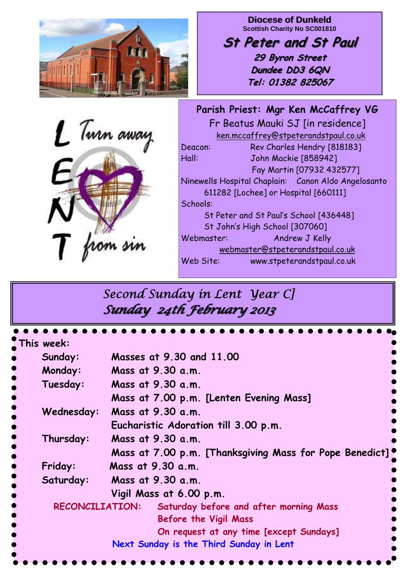

1 Turn away from sin

**Diocese of Dunkeld Scottish Charity No SC001810** 

**St Peter and St Paul St Peter and St Paul 29 Byron Street 29 Byron Street Dundee DD3 6QN Tel: 01382 825067**

**Parish Priest: Mgr Ken McCaffrey VG**  Fr Beatus Mauki SJ [in residence] ken.mccaffrey@stpeterandstpaul.co.uk Deacon: Rev Charles Hendry [818183] Hall: John Mackie [858942] Fay Martin [07932 432577] Ninewells Hospital Chaplain: Canon Aldo Angelosanto 611282 [Lochee] or Hospital [660111] Schools: St Peter and St Paul's School [436448] St John's High School [307060] Webmaster: Andrew J Kelly webmaster@stpeterandstpaul.co.uk Web Site: www.stpeterandstpaul.co.uk

# *Second Sunday in Lent Year C] Sunday 24th February 2013 Sunday 24th February 2013*

| This week:                              |                                                         |
|-----------------------------------------|---------------------------------------------------------|
| Sunday:                                 | Masses at 9.30 and 11.00                                |
| Monday:                                 | Mass at 9.30 a.m.                                       |
| Tuesday:                                | Mass at 9.30 a.m.                                       |
|                                         | Mass at 7.00 p.m. [Lenten Evening Mass]                 |
| Wednesday:                              | Mass at 9.30 a.m.                                       |
|                                         | Eucharistic Adoration till 3.00 p.m.                    |
| Thursday:                               | Mass at 9.30 a.m.                                       |
|                                         | Mass at 7.00 p.m. [Thanksgiving Mass for Pope Benedict] |
| Friday:                                 | Mass at 9.30 a.m.                                       |
| Saturday:                               | Mass at 9.30 a.m.                                       |
|                                         | Vigil Mass at 6.00 p.m.                                 |
|                                         | RECONCILIATION: Saturday before and after morning Mass  |
|                                         | <b>Before the Vigil Mass</b>                            |
|                                         | On request at any time [except Sundays]                 |
| Next Sunday is the Third Sunday in Lent |                                                         |
|                                         |                                                         |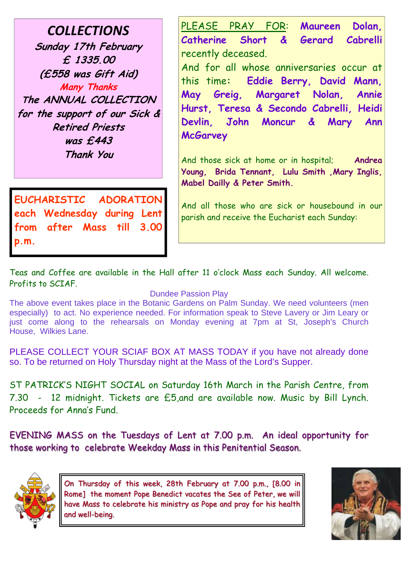*COLLECTIONS* **Sunday 17th February £ 1335.00 (£558 was Gift Aid) Many Thanks The ANNUAL COLLECTION for the support of our Sick & Retired Priests was £443 Thank You** 

**EUCHARISTIC ADORATION each Wednesday during Lent from after Mass till 3.00 p.m.** 

PLEASE PRAY FOR: **Maureen Dolan, Catherine Short & Gerard Cabrelli**  recently deceased. And for all whose anniversaries occur at this time**: Eddie Berry, David Mann, May Greig, Margaret Nolan, Annie** 

**Hurst, Teresa & Secondo Cabrelli, Heidi Devlin, John Moncur & Mary Ann McGarvey** 

And those sick at home or in hospital; **Andrea Young, Brida Tennant, Lulu Smith ,Mary Inglis, Mabel Dailly & Peter Smith.** 

And all those who are sick or housebound in our parish and receive the Eucharist each Sunday:

Teas and Coffee are available in the Hall after 11 o'clock Mass each Sunday. All welcome. Profits to SCIAF.

#### Dundee Passion Play

The above event takes place in the Botanic Gardens on Palm Sunday. We need volunteers (men especially) to act. No experience needed. For information speak to Steve Lavery or Jim Leary or just come along to the rehearsals on Monday evening at 7pm at St, Joseph's Church House, Wilkies Lane.

PLEASE COLLECT YOUR SCIAF BOX AT MASS TODAY if you have not already done so. To be returned on Holy Thursday night at the Mass of the Lord's Supper.

ST PATRICK'S NIGHT SOCIAL on Saturday 16th March in the Parish Centre, from 7.30 - 12 midnight. Tickets are £5,and are available now. Music by Bill Lynch. Proceeds for Anna's Fund.

EVENING MASS on the Tuesdays of Lent at 7.00 p.m. An ideal opportunity for those working to celebrate Weekday Mass in this Penitential Season.



On Thursday of this week, 28th February at 7.00 p.m., [8.00 in Rome] the moment Pope Benedict vacates the See of Peter, we will have Mass to celebrate his ministry as Pope and pray for his health and well-being.

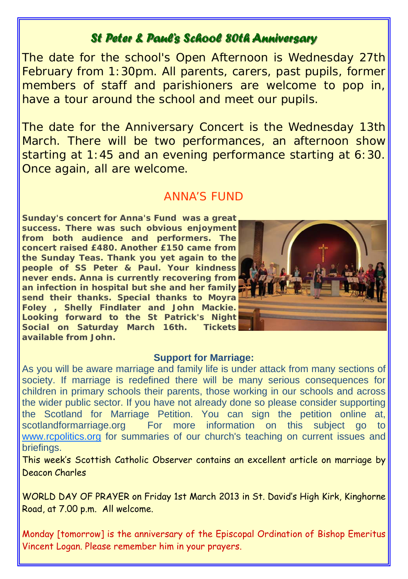### *St Peter & Paul's School 80th Anniversary St Peter & Paul's School 80th Anniversary*

The date for the school's Open Afternoon is Wednesday 27th February from 1:30pm. All parents, carers, past pupils, former members of staff and parishioners are welcome to pop in, have a tour around the school and meet our pupils.

The date for the Anniversary Concert is the Wednesday 13th March. There will be two performances, an afternoon show starting at 1:45 and an evening performance starting at 6:30. Once again, all are welcome.

### ANNA'S FUND

**Sunday's concert for Anna's Fund was a great success. There was such obvious enjoyment from both audience and performers. The concert raised £480. Another £150 came from the Sunday Teas. Thank you yet again to the people of SS Peter & Paul. Your kindness never ends. Anna is currently recovering from an infection in hospital but she and her family send their thanks. Special thanks to Moyra Foley , Shelly Findlater and John Mackie. Looking forward to the St Patrick's Night Social on Saturday March 16th. Tickets available from John.** 



#### **Support for Marriage:**

As you will be aware marriage and family life is under attack from many sections of society. If marriage is redefined there will be many serious consequences for children in primary schools their parents, those working in our schools and across the wider public sector. If you have not already done so please consider supporting the Scotland for Marriage Petition. You can sign the petition online at, scotlandformarriage.org For more information on this subject go to www.rcpolitics.org for summaries of our church's teaching on current issues and briefings.

This week's Scottish Catholic Observer contains an excellent article on marriage by Deacon Charles

WORLD DAY OF PRAYER on Friday 1st March 2013 in St. David's High Kirk, Kinghorne Road, at 7.00 p.m. All welcome.

Monday [tomorrow] is the anniversary of the Episcopal Ordination of Bishop Emeritus Vincent Logan. Please remember him in your prayers.